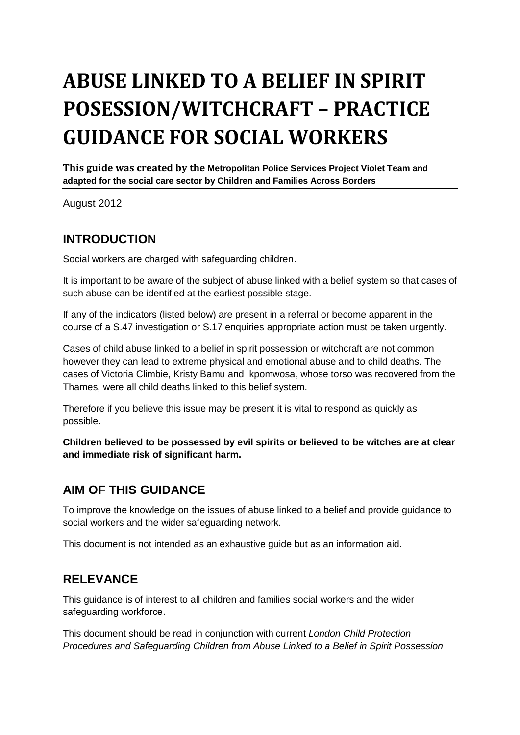# **ABUSE LINKED TO A BELIEF IN SPIRIT POSESSION/WITCHCRAFT – PRACTICE GUIDANCE FOR SOCIAL WORKERS**

**This guide was created by the Metropolitan Police Services Project Violet Team and adapted for the social care sector by Children and Families Across Borders**

August 2012

## **INTRODUCTION**

Social workers are charged with safeguarding children.

It is important to be aware of the subject of abuse linked with a belief system so that cases of such abuse can be identified at the earliest possible stage.

If any of the indicators (listed below) are present in a referral or become apparent in the course of a S.47 investigation or S.17 enquiries appropriate action must be taken urgently.

Cases of child abuse linked to a belief in spirit possession or witchcraft are not common however they can lead to extreme physical and emotional abuse and to child deaths. The cases of Victoria Climbie, Kristy Bamu and Ikpomwosa, whose torso was recovered from the Thames, were all child deaths linked to this belief system.

Therefore if you believe this issue may be present it is vital to respond as quickly as possible.

**Children believed to be possessed by evil spirits or believed to be witches are at clear and immediate risk of significant harm.**

## **AIM OF THIS GUIDANCE**

To improve the knowledge on the issues of abuse linked to a belief and provide guidance to social workers and the wider safeguarding network.

This document is not intended as an exhaustive guide but as an information aid.

## **RELEVANCE**

This guidance is of interest to all children and families social workers and the wider safeguarding workforce.

This document should be read in conjunction with current *London Child Protection Procedures and Safeguarding Children from Abuse Linked to a Belief in Spirit Possession*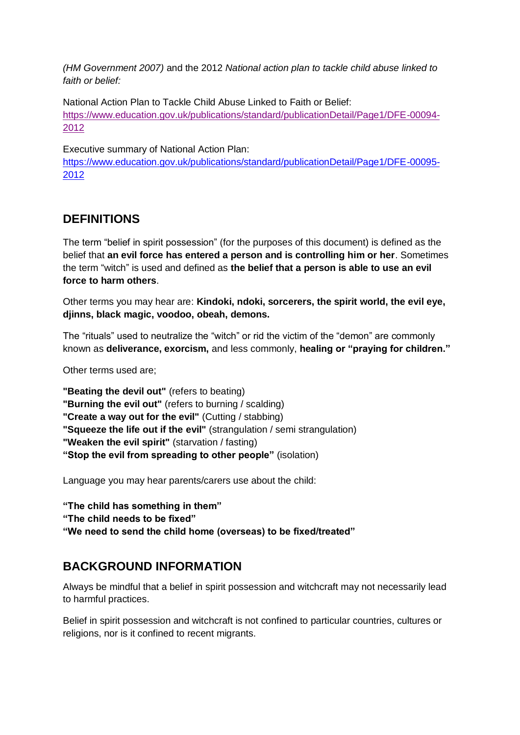*(HM Government 2007)* and the 2012 *National action plan to tackle child abuse linked to faith or belief:*

National Action Plan to Tackle Child Abuse Linked to Faith or Belief: [https://www.education.gov.uk/publications/standard/publicationDetail/Page1/DFE-00094-](https://www.education.gov.uk/publications/standard/publicationDetail/Page1/DFE-00094-2012) [2012](https://www.education.gov.uk/publications/standard/publicationDetail/Page1/DFE-00094-2012)

Executive summary of National Action Plan:

[https://www.education.gov.uk/publications/standard/publicationDetail/Page1/DFE-00095-](https://www.education.gov.uk/publications/standard/publicationDetail/Page1/DFE-00095-2012) [2012](https://www.education.gov.uk/publications/standard/publicationDetail/Page1/DFE-00095-2012)

## **DEFINITIONS**

The term "belief in spirit possession" (for the purposes of this document) is defined as the belief that **an evil force has entered a person and is controlling him or her**. Sometimes the term "witch" is used and defined as **the belief that a person is able to use an evil force to harm others**.

Other terms you may hear are: **Kindoki, ndoki, sorcerers, the spirit world, the evil eye, djinns, black magic, voodoo, obeah, demons.**

The "rituals" used to neutralize the "witch" or rid the victim of the "demon" are commonly known as **deliverance, exorcism,** and less commonly, **healing or "praying for children."**

Other terms used are;

**"Beating the devil out"** (refers to beating)

**"Burning the evil out"** (refers to burning / scalding)

- **"Create a way out for the evil"** (Cutting / stabbing)
- **"Squeeze the life out if the evil"** (strangulation / semi strangulation)
- **"Weaken the evil spirit"** (starvation / fasting)
- **"Stop the evil from spreading to other people"** (isolation)

Language you may hear parents/carers use about the child:

**"The child has something in them"**

**"The child needs to be fixed"**

**"We need to send the child home (overseas) to be fixed/treated"** 

## **BACKGROUND INFORMATION**

Always be mindful that a belief in spirit possession and witchcraft may not necessarily lead to harmful practices.

Belief in spirit possession and witchcraft is not confined to particular countries, cultures or religions, nor is it confined to recent migrants.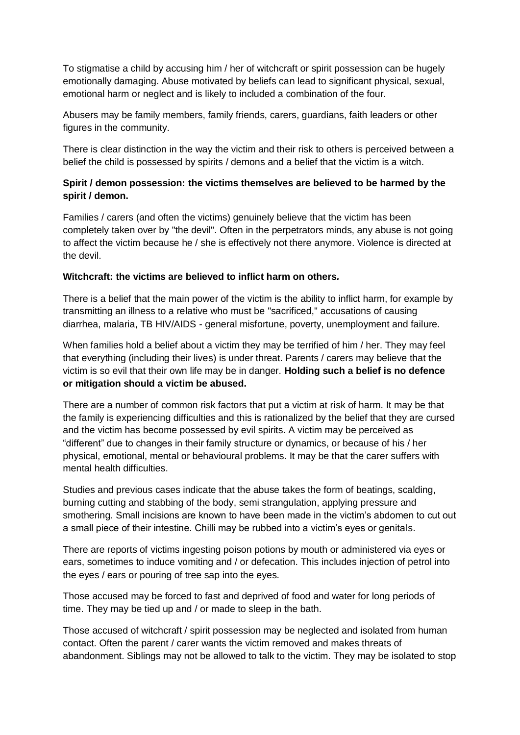To stigmatise a child by accusing him / her of witchcraft or spirit possession can be hugely emotionally damaging. Abuse motivated by beliefs can lead to significant physical, sexual, emotional harm or neglect and is likely to included a combination of the four.

Abusers may be family members, family friends, carers, guardians, faith leaders or other figures in the community.

There is clear distinction in the way the victim and their risk to others is perceived between a belief the child is possessed by spirits / demons and a belief that the victim is a witch.

## **Spirit / demon possession: the victims themselves are believed to be harmed by the spirit / demon.**

Families / carers (and often the victims) genuinely believe that the victim has been completely taken over by "the devil". Often in the perpetrators minds, any abuse is not going to affect the victim because he / she is effectively not there anymore. Violence is directed at the devil.

#### **Witchcraft: the victims are believed to inflict harm on others***.*

There is a belief that the main power of the victim is the ability to inflict harm, for example by transmitting an illness to a relative who must be "sacrificed," accusations of causing diarrhea, malaria, TB HIV/AIDS - general misfortune, poverty, unemployment and failure.

When families hold a belief about a victim they may be terrified of him / her. They may feel that everything (including their lives) is under threat. Parents / carers may believe that the victim is so evil that their own life may be in danger. **Holding such a belief is no defence or mitigation should a victim be abused.**

There are a number of common risk factors that put a victim at risk of harm. It may be that the family is experiencing difficulties and this is rationalized by the belief that they are cursed and the victim has become possessed by evil spirits. A victim may be perceived as "different" due to changes in their family structure or dynamics, or because of his / her physical, emotional, mental or behavioural problems. It may be that the carer suffers with mental health difficulties.

Studies and previous cases indicate that the abuse takes the form of beatings, scalding, burning cutting and stabbing of the body, semi strangulation, applying pressure and smothering. Small incisions are known to have been made in the victim's abdomen to cut out a small piece of their intestine. Chilli may be rubbed into a victim's eyes or genitals.

There are reports of victims ingesting poison potions by mouth or administered via eyes or ears, sometimes to induce vomiting and / or defecation. This includes injection of petrol into the eyes / ears or pouring of tree sap into the eyes.

Those accused may be forced to fast and deprived of food and water for long periods of time. They may be tied up and / or made to sleep in the bath.

Those accused of witchcraft / spirit possession may be neglected and isolated from human contact. Often the parent / carer wants the victim removed and makes threats of abandonment. Siblings may not be allowed to talk to the victim. They may be isolated to stop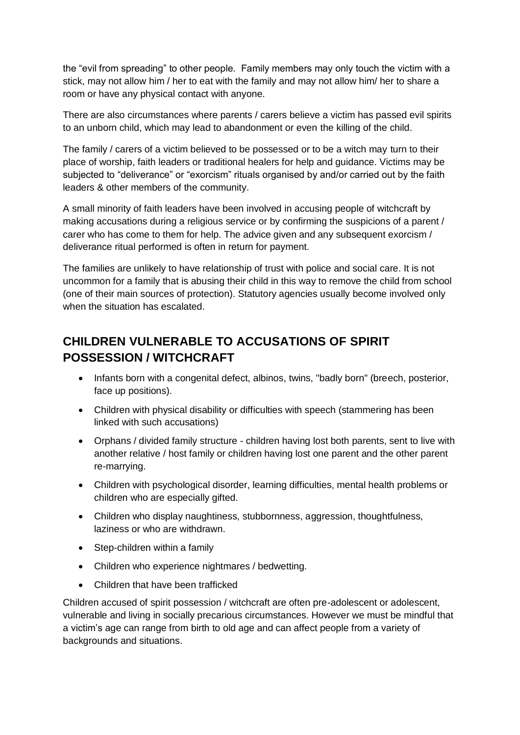the "evil from spreading" to other people. Family members may only touch the victim with a stick, may not allow him / her to eat with the family and may not allow him/ her to share a room or have any physical contact with anyone.

There are also circumstances where parents / carers believe a victim has passed evil spirits to an unborn child, which may lead to abandonment or even the killing of the child.

The family / carers of a victim believed to be possessed or to be a witch may turn to their place of worship, faith leaders or traditional healers for help and guidance. Victims may be subjected to "deliverance" or "exorcism" rituals organised by and/or carried out by the faith leaders & other members of the community.

A small minority of faith leaders have been involved in accusing people of witchcraft by making accusations during a religious service or by confirming the suspicions of a parent / carer who has come to them for help. The advice given and any subsequent exorcism / deliverance ritual performed is often in return for payment.

The families are unlikely to have relationship of trust with police and social care. It is not uncommon for a family that is abusing their child in this way to remove the child from school (one of their main sources of protection). Statutory agencies usually become involved only when the situation has escalated.

# **CHILDREN VULNERABLE TO ACCUSATIONS OF SPIRIT POSSESSION / WITCHCRAFT**

- Infants born with a congenital defect, albinos, twins, "badly born" (breech, posterior, face up positions).
- Children with physical disability or difficulties with speech (stammering has been linked with such accusations)
- Orphans / divided family structure children having lost both parents, sent to live with another relative / host family or children having lost one parent and the other parent re-marrying.
- Children with psychological disorder, learning difficulties, mental health problems or children who are especially gifted.
- Children who display naughtiness, stubbornness, aggression, thoughtfulness, laziness or who are withdrawn.
- Step-children within a family
- Children who experience nightmares / bedwetting.
- Children that have been trafficked

Children accused of spirit possession / witchcraft are often pre-adolescent or adolescent, vulnerable and living in socially precarious circumstances. However we must be mindful that a victim's age can range from birth to old age and can affect people from a variety of backgrounds and situations.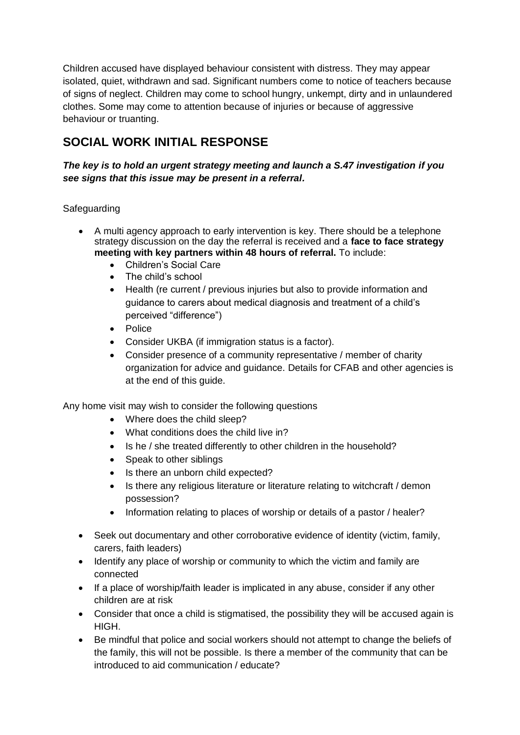Children accused have displayed behaviour consistent with distress. They may appear isolated, quiet, withdrawn and sad. Significant numbers come to notice of teachers because of signs of neglect. Children may come to school hungry, unkempt, dirty and in unlaundered clothes. Some may come to attention because of injuries or because of aggressive behaviour or truanting.

# **SOCIAL WORK INITIAL RESPONSE**

## *The key is to hold an urgent strategy meeting and launch a S.47 investigation if you see signs that this issue may be present in a referral.*

## **Safeguarding**

- A multi agency approach to early intervention is key. There should be a telephone strategy discussion on the day the referral is received and a **face to face strategy meeting with key partners within 48 hours of referral.** To include:
	- Children's Social Care
	- The child's school
	- Health (re current / previous injuries but also to provide information and guidance to carers about medical diagnosis and treatment of a child's perceived "difference")
	- Police
	- Consider UKBA (if immigration status is a factor).
	- Consider presence of a community representative / member of charity organization for advice and guidance. Details for CFAB and other agencies is at the end of this guide.

Any home visit may wish to consider the following questions

- Where does the child sleep?
- What conditions does the child live in?
- Is he / she treated differently to other children in the household?
- Speak to other siblings
- Is there an unborn child expected?
- Is there any religious literature or literature relating to witchcraft / demon possession?
- Information relating to places of worship or details of a pastor / healer?
- Seek out documentary and other corroborative evidence of identity (victim, family, carers, faith leaders)
- Identify any place of worship or community to which the victim and family are connected
- If a place of worship/faith leader is implicated in any abuse, consider if any other children are at risk
- Consider that once a child is stigmatised, the possibility they will be accused again is HIGH.
- Be mindful that police and social workers should not attempt to change the beliefs of the family, this will not be possible. Is there a member of the community that can be introduced to aid communication / educate?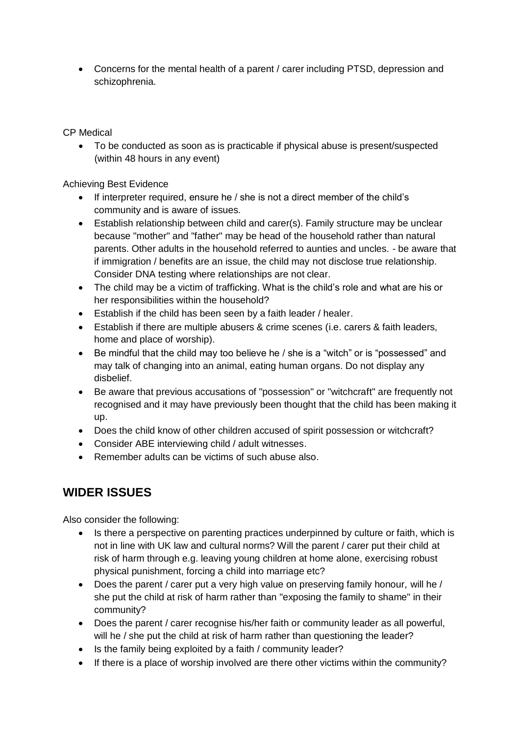Concerns for the mental health of a parent / carer including PTSD, depression and schizophrenia.

CP Medical

 To be conducted as soon as is practicable if physical abuse is present/suspected (within 48 hours in any event)

Achieving Best Evidence

- If interpreter required, ensure he / she is not a direct member of the child's community and is aware of issues.
- Establish relationship between child and carer(s). Family structure may be unclear because "mother" and "father" may be head of the household rather than natural parents. Other adults in the household referred to aunties and uncles. - be aware that if immigration / benefits are an issue, the child may not disclose true relationship. Consider DNA testing where relationships are not clear.
- The child may be a victim of trafficking. What is the child's role and what are his or her responsibilities within the household?
- Establish if the child has been seen by a faith leader / healer.
- Establish if there are multiple abusers & crime scenes (i.e. carers & faith leaders, home and place of worship).
- Be mindful that the child may too believe he / she is a "witch" or is "possessed" and may talk of changing into an animal, eating human organs. Do not display any disbelief.
- Be aware that previous accusations of "possession" or "witchcraft" are frequently not recognised and it may have previously been thought that the child has been making it up.
- Does the child know of other children accused of spirit possession or witchcraft?
- Consider ABE interviewing child / adult witnesses.
- Remember adults can be victims of such abuse also.

# **WIDER ISSUES**

Also consider the following:

- Is there a perspective on parenting practices underpinned by culture or faith, which is not in line with UK law and cultural norms? Will the parent / carer put their child at risk of harm through e.g. leaving young children at home alone, exercising robust physical punishment, forcing a child into marriage etc?
- Does the parent / carer put a very high value on preserving family honour, will he / she put the child at risk of harm rather than "exposing the family to shame" in their community?
- Does the parent / carer recognise his/her faith or community leader as all powerful, will he / she put the child at risk of harm rather than questioning the leader?
- Is the family being exploited by a faith / community leader?
- If there is a place of worship involved are there other victims within the community?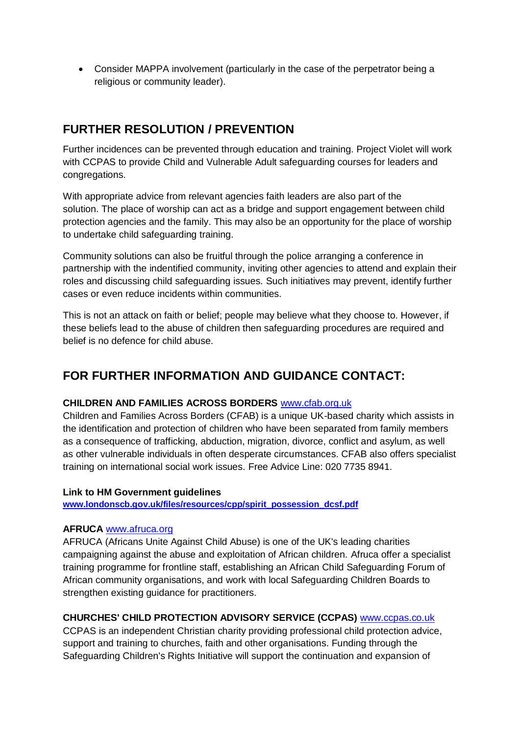Consider MAPPA involvement (particularly in the case of the perpetrator being a religious or community leader).

## **FURTHER RESOLUTION / PREVENTION**

Further incidences can be prevented through education and training. Project Violet will work with CCPAS to provide Child and Vulnerable Adult safeguarding courses for leaders and congregations.

With appropriate advice from relevant agencies faith leaders are also part of the solution. The place of worship can act as a bridge and support engagement between child protection agencies and the family. This may also be an opportunity for the place of worship to undertake child safeguarding training.

Community solutions can also be fruitful through the police arranging a conference in partnership with the indentified community, inviting other agencies to attend and explain their roles and discussing child safeguarding issues. Such initiatives may prevent, identify further cases or even reduce incidents within communities.

This is not an attack on faith or belief; people may believe what they choose to. However, if these beliefs lead to the abuse of children then safeguarding procedures are required and belief is no defence for child abuse.

# **FOR FURTHER INFORMATION AND GUIDANCE CONTACT:**

## **CHILDREN AND FAMILIES ACROSS BORDERS** [www.cfab.org.uk](http://www.cfab.org.uk/)

Children and Families Across Borders (CFAB) is a unique UK-based charity which assists in the identification and protection of children who have been separated from family members as a consequence of trafficking, abduction, migration, divorce, conflict and asylum, as well as other vulnerable individuals in often desperate circumstances. CFAB also offers specialist training on international social work issues. Free Advice Line: 020 7735 8941.

## **Link to HM Government guidelines**

**[www.londonscb.gov.uk/files/resources/cpp/spirit\\_possession\\_dcsf.pdf](http://www.londonscb.gov.uk/files/resources/cpp/spirit_possession_dcsf.pdf)**

## **AFRUCA** [www.afruca.org](http://www.afruca.org/)

AFRUCA (Africans Unite Against Child Abuse) is one of the UK's leading charities campaigning against the abuse and exploitation of African children. Afruca offer a specialist training programme for frontline staff, establishing an African Child Safeguarding Forum of African community organisations, and work with local Safeguarding Children Boards to strengthen existing guidance for practitioners.

## **CHURCHES' CHILD PROTECTION ADVISORY SERVICE (CCPAS)** [www.ccpas.co.uk](http://www.ccpas.co.uk/)

CCPAS is an independent Christian charity providing professional child protection advice, support and training to churches, faith and other organisations. Funding through the Safeguarding Children's Rights Initiative will support the continuation and expansion of